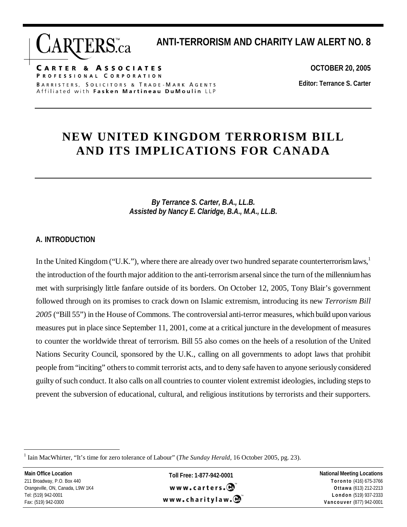**CARTER & ASSOCIATES** PROFESSIONAL CORPORATION BARRISTERS, SOLICITORS & TRADE-MARK AGENTS Affiliated with Fasken Martineau DuMoulin LLP

**OCTOBER 20, 2005** 

**ANTI-TERRORISM AND CHARITY LAW ALERT NO. 8** 

**Editor: Terrance S. Carter** 

### **NEW UNITED KINGDOM TERRORISM BILL AND ITS IMPLICATIONS FOR CANADA**

*By Terrance S. Carter, B.A., LL.B. Assisted by Nancy E. Claridge, B.A., M.A., LL.B.* 

#### **A. INTRODUCTION**

In the United Kingdom ("U.K."), where there are already over two hundred separate counterterrorism laws, $\frac{1}{1}$ the introduction of the fourth major addition to the anti-terrorism arsenal since the turn of the millennium has met with surprisingly little fanfare outside of its borders. On October 12, 2005, Tony Blair's government followed through on its promises to crack down on Islamic extremism, introducing its new *Terrorism Bill 2005* ("Bill 55") in the House of Commons. The controversial anti-terror measures, which build upon various measures put in place since September 11, 2001, come at a critical juncture in the development of measures to counter the worldwide threat of terrorism. Bill 55 also comes on the heels of a resolution of the United Nations Security Council, sponsored by the U.K., calling on all governments to adopt laws that prohibit people from "inciting" others to commit terrorist acts, and to deny safe haven to anyone seriously considered guilty of such conduct. It also calls on all countries to counter violent extremist ideologies, including steps to prevent the subversion of educational, cultural, and religious institutions by terrorists and their supporters.

 $\overline{a}$ 

**Toll Free: 1-877-942-0001**  www.carters. $\mathbf{\Theta}$ www.charitylaw. $\mathbf{\Theta}$ 

<sup>&</sup>lt;sup>1</sup> Iain MacWhirter, "It's time for zero tolerance of Labour" (*The Sunday Herald*, 16 October 2005, pg. 23).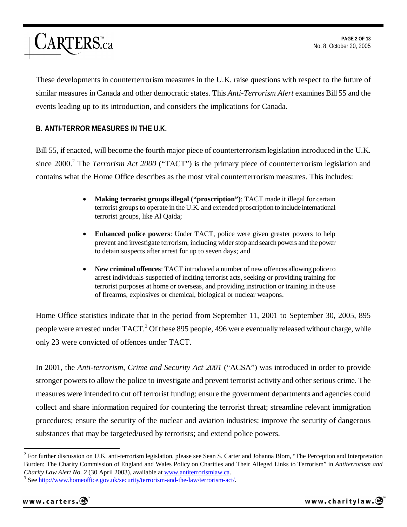

These developments in counterterrorism measures in the U.K. raise questions with respect to the future of similar measures in Canada and other democratic states. This *Anti-Terrorism Alert* examines Bill 55 and the events leading up to its introduction, and considers the implications for Canada.

#### **B. ANTI-TERROR MEASURES IN THE U.K.**

Bill 55, if enacted, will become the fourth major piece of counterterrorism legislation introduced in the U.K. since 2000.<sup>2</sup> The *Terrorism Act 2000* ("TACT") is the primary piece of counterterrorism legislation and contains what the Home Office describes as the most vital counterterrorism measures. This includes:

- **Making terrorist groups illegal ("proscription")**: TACT made it illegal for certain terrorist groups to operate in the U.K. and extended proscription to include international terrorist groups, like Al Qaida;
- **Enhanced police powers**: Under TACT, police were given greater powers to help prevent and investigate terrorism, including wider stop and search powers and the power to detain suspects after arrest for up to seven days; and
- **New criminal offences**: TACT introduced a number of new offences allowing police to arrest individuals suspected of inciting terrorist acts, seeking or providing training for terrorist purposes at home or overseas, and providing instruction or training in the use of firearms, explosives or chemical, biological or nuclear weapons.

Home Office statistics indicate that in the period from September 11, 2001 to September 30, 2005, 895 people were arrested under TACT.<sup>3</sup> Of these 895 people, 496 were eventually released without charge, while only 23 were convicted of offences under TACT.

In 2001, the *Anti-terrorism, Crime and Security Act 2001* ("ACSA") was introduced in order to provide stronger powers to allow the police to investigate and prevent terrorist activity and other serious crime. The measures were intended to cut off terrorist funding; ensure the government departments and agencies could collect and share information required for countering the terrorist threat; streamline relevant immigration procedures; ensure the security of the nuclear and aviation industries; improve the security of dangerous substances that may be targeted/used by terrorists; and extend police powers.

 $2^2$  For further discussion on U.K. anti-terrorism legislation, please see Sean S. Carter and Johanna Blom, "The Perception and Interpretation Burden: The Charity Commission of England and Wales Policy on Charities and Their Alleged Links to Terrorism" in *Antiterrorism and Charity Law Alert No. 2* (30 April 2003), available at www.antiterrorismlaw.ca. 3

<sup>&</sup>lt;sup>3</sup> See http://www.homeoffice.gov.uk/security/terrorism-and-the-law/terrorism-act/.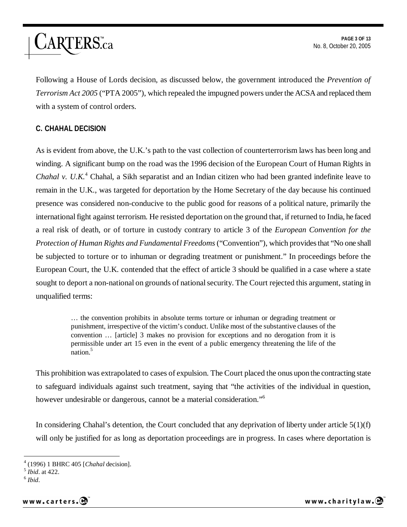

Following a House of Lords decision, as discussed below, the government introduced the *Prevention of Terrorism Act 2005* ("PTA 2005"), which repealed the impugned powers under the ACSA and replaced them with a system of control orders.

#### **C. CHAHAL DECISION**

As is evident from above, the U.K.'s path to the vast collection of counterterrorism laws has been long and winding. A significant bump on the road was the 1996 decision of the European Court of Human Rights in Chahal v. U.K.<sup>4</sup> Chahal, a Sikh separatist and an Indian citizen who had been granted indefinite leave to remain in the U.K., was targeted for deportation by the Home Secretary of the day because his continued presence was considered non-conducive to the public good for reasons of a political nature, primarily the international fight against terrorism. He resisted deportation on the ground that, if returned to India, he faced a real risk of death, or of torture in custody contrary to article 3 of the *European Convention for the Protection of Human Rights and Fundamental Freedoms* ("Convention"), which provides that "No one shall be subjected to torture or to inhuman or degrading treatment or punishment." In proceedings before the European Court, the U.K. contended that the effect of article 3 should be qualified in a case where a state sought to deport a non-national on grounds of national security. The Court rejected this argument, stating in unqualified terms:

> … the convention prohibits in absolute terms torture or inhuman or degrading treatment or punishment, irrespective of the victim's conduct. Unlike most of the substantive clauses of the convention … [article] 3 makes no provision for exceptions and no derogation from it is permissible under art 15 even in the event of a public emergency threatening the life of the nation.<sup>5</sup>

This prohibition was extrapolated to cases of expulsion. The Court placed the onus upon the contracting state to safeguard individuals against such treatment, saying that "the activities of the individual in question, however undesirable or dangerous, cannot be a material consideration."<sup>6</sup>

In considering Chahal's detention, the Court concluded that any deprivation of liberty under article  $5(1)(f)$ will only be justified for as long as deportation proceedings are in progress. In cases where deportation is

 $\overline{a}$ 

www.carters.@

<sup>4</sup> (1996) 1 BHRC 405 [*Chahal* decision]. 5 *Ibid*. at 422. 6 *Ibid*.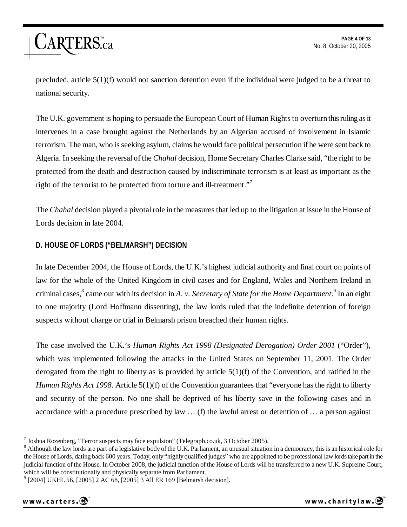precluded, article 5(1)(f) would not sanction detention even if the individual were judged to be a threat to national security.

The U.K. government is hoping to persuade the European Court of Human Rights to overturn this ruling as it intervenes in a case brought against the Netherlands by an Algerian accused of involvement in Islamic terrorism. The man, who is seeking asylum, claims he would face political persecution if he were sent back to Algeria. In seeking the reversal of the *Chahal* decision, Home Secretary Charles Clarke said, "the right to be protected from the death and destruction caused by indiscriminate terrorism is at least as important as the right of the terrorist to be protected from torture and ill-treatment."<sup>7</sup>

The *Chahal* decision played a pivotal role in the measures that led up to the litigation at issue in the House of Lords decision in late 2004.

#### **D. HOUSE OF LORDS ("BELMARSH") DECISION**

ARTERS.ca

In late December 2004, the House of Lords, the U.K.'s highest judicial authority and final court on points of law for the whole of the United Kingdom in civil cases and for England, Wales and Northern Ireland in criminal cases,<sup>8</sup> came out with its decision in *A. v. Secretary of State for the Home Department*.<sup>9</sup> In an eight to one majority (Lord Hoffmann dissenting), the law lords ruled that the indefinite detention of foreign suspects without charge or trial in Belmarsh prison breached their human rights.

The case involved the U.K.'s *Human Rights Act 1998 (Designated Derogation) Order 2001* ("Order"), which was implemented following the attacks in the United States on September 11, 2001. The Order derogated from the right to liberty as is provided by article  $5(1)(f)$  of the Convention, and ratified in the *Human Rights Act 1998.* Article 5(1)(f) of the Convention guarantees that "everyone has the right to liberty and security of the person. No one shall be deprived of his liberty save in the following cases and in accordance with a procedure prescribed by law … (f) the lawful arrest or detention of … a person against

<sup>9</sup> [2004] UKHL 56, [2005] 2 AC 68, [2005] 3 All ER 169 [Belmarsh decision].

<sup>&</sup>lt;sup>7</sup> Joshua Rozenberg, "Terror suspects may face expulsion" (Telegraph.co.uk, 3 October 2005).

<sup>&</sup>lt;sup>8</sup> Although the law lords are part of a legislative body of the U.K. Parliament, an unusual situation in a democracy, this is an historical role for the House of Lords, dating back 600 years. Today, only "highly qualified judges" who are appointed to be professional law lords take part in the judicial function of the House. In October 2008, the judicial function of the House of Lords will be transferred to a new U.K. Supreme Court, which will be constitutionally and physically separate from Parliament.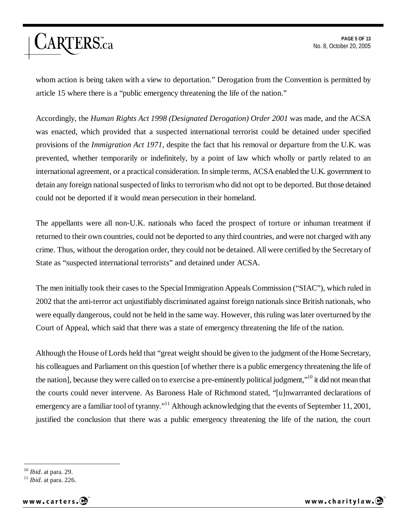## *ARTERS.ca*

**PAGE 5 OF 13**  No. 8, October 20, 2005

whom action is being taken with a view to deportation." Derogation from the Convention is permitted by article 15 where there is a "public emergency threatening the life of the nation."

Accordingly, the *Human Rights Act 1998 (Designated Derogation) Order 2001* was made, and the ACSA was enacted, which provided that a suspected international terrorist could be detained under specified provisions of the *Immigration Act 1971*, despite the fact that his removal or departure from the U.K. was prevented, whether temporarily or indefinitely, by a point of law which wholly or partly related to an international agreement, or a practical consideration. In simple terms, ACSA enabled the U.K. government to detain any foreign national suspected of links to terrorism who did not opt to be deported. But those detained could not be deported if it would mean persecution in their homeland.

The appellants were all non-U.K. nationals who faced the prospect of torture or inhuman treatment if returned to their own countries, could not be deported to any third countries, and were not charged with any crime. Thus, without the derogation order, they could not be detained. All were certified by the Secretary of State as "suspected international terrorists" and detained under ACSA.

The men initially took their cases to the Special Immigration Appeals Commission ("SIAC"), which ruled in 2002 that the anti-terror act unjustifiably discriminated against foreign nationals since British nationals, who were equally dangerous, could not be held in the same way. However, this ruling was later overturned by the Court of Appeal, which said that there was a state of emergency threatening the life of the nation.

Although the House of Lords held that "great weight should be given to the judgment of the Home Secretary, his colleagues and Parliament on this question [of whether there is a public emergency threatening the life of the nation], because they were called on to exercise a pre-eminently political judgment,"10 it did not mean that the courts could never intervene. As Baroness Hale of Richmond stated, "[u]nwarranted declarations of emergency are a familiar tool of tyranny."<sup>11</sup> Although acknowledging that the events of September 11, 2001, justified the conclusion that there was a public emergency threatening the life of the nation, the court

<sup>10</sup> *Ibid*. at para. 29. 11 *Ibid*. at para. 226.



 $10$  *Ibid.* at para. 29.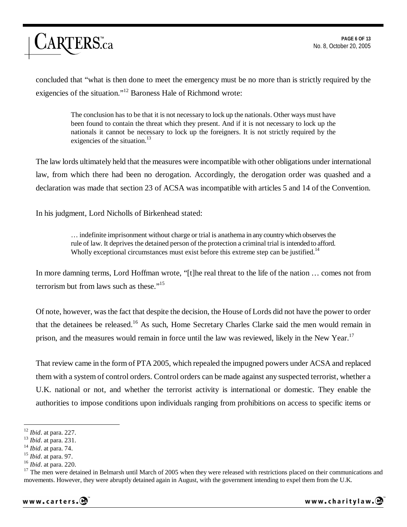# ARTERS.ca

concluded that "what is then done to meet the emergency must be no more than is strictly required by the exigencies of the situation."12 Baroness Hale of Richmond wrote:

> The conclusion has to be that it is not necessary to lock up the nationals. Other ways must have been found to contain the threat which they present. And if it is not necessary to lock up the nationals it cannot be necessary to lock up the foreigners. It is not strictly required by the exigencies of the situation.<sup>13</sup>

The law lords ultimately held that the measures were incompatible with other obligations under international law, from which there had been no derogation. Accordingly, the derogation order was quashed and a declaration was made that section 23 of ACSA was incompatible with articles 5 and 14 of the Convention.

In his judgment, Lord Nicholls of Birkenhead stated:

… indefinite imprisonment without charge or trial is anathema in any country which observes the rule of law. It deprives the detained person of the protection a criminal trial is intended to afford. Wholly exceptional circumstances must exist before this extreme step can be justified.<sup>14</sup>

In more damning terms, Lord Hoffman wrote, "[t]he real threat to the life of the nation … comes not from terrorism but from laws such as these."<sup>15</sup>

Of note, however, was the fact that despite the decision, the House of Lords did not have the power to order that the detainees be released.16 As such, Home Secretary Charles Clarke said the men would remain in prison, and the measures would remain in force until the law was reviewed, likely in the New Year.<sup>17</sup>

That review came in the form of PTA 2005, which repealed the impugned powers under ACSA and replaced them with a system of control orders. Control orders can be made against any suspected terrorist, whether a U.K. national or not, and whether the terrorist activity is international or domestic. They enable the authorities to impose conditions upon individuals ranging from prohibitions on access to specific items or



 $12$  *Ibid.* at para. 227.

<sup>&</sup>lt;sup>13</sup> *Ibid.* at para. 231.<br><sup>14</sup> *Ibid.* at para. 74.<br><sup>15</sup> *Ibid.* at para. 97.<br><sup>16</sup> *Ibid.* at para. 220.<br><sup>17</sup> The men were detained in Belmarsh until March of 2005 when they were released with restrictions placed on thei movements. However, they were abruptly detained again in August, with the government intending to expel them from the U.K.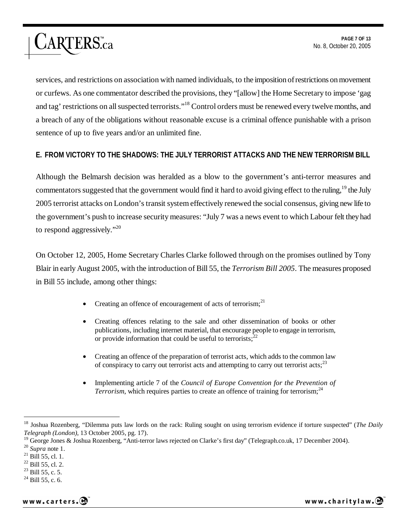services, and restrictions on association with named individuals, to the imposition of restrictions on movement or curfews. As one commentator described the provisions, they "[allow] the Home Secretary to impose 'gag and tag' restrictions on all suspected terrorists."18 Control orders must be renewed every twelve months, and a breach of any of the obligations without reasonable excuse is a criminal offence punishable with a prison sentence of up to five years and/or an unlimited fine.

### **E. FROM VICTORY TO THE SHADOWS: THE JULY TERRORIST ATTACKS AND THE NEW TERRORISM BILL**

Although the Belmarsh decision was heralded as a blow to the government's anti-terror measures and commentators suggested that the government would find it hard to avoid giving effect to the ruling,<sup>19</sup> the July 2005 terrorist attacks on London's transit system effectively renewed the social consensus, giving new life to the government's push to increase security measures: "July 7 was a news event to which Labour felt they had to respond aggressively."<sup>20</sup>

On October 12, 2005, Home Secretary Charles Clarke followed through on the promises outlined by Tony Blair in early August 2005, with the introduction of Bill 55, the *Terrorism Bill 2005*. The measures proposed in Bill 55 include, among other things:

- Creating an offence of encouragement of acts of terrorism; $^{21}$
- Creating offences relating to the sale and other dissemination of books or other publications, including internet material, that encourage people to engage in terrorism, or provide information that could be useful to terrorists; $^{22}$
- Creating an offence of the preparation of terrorist acts, which adds to the common law of conspiracy to carry out terrorist acts and attempting to carry out terrorist acts;  $^{23}$
- Implementing article 7 of the *Council of Europe Convention for the Prevention of Terrorism*, which requires parties to create an offence of training for terrorism;<sup>24</sup>

ARTERS.ca

<sup>18</sup> Joshua Rozenberg, "Dilemma puts law lords on the rack: Ruling sought on using terrorism evidence if torture suspected" (*The Daily Telegraph (London)*, 13 October 2005, pg. 17).

<sup>&</sup>lt;sup>19</sup> George Jones & Joshua Rozenberg, "Anti-terror laws rejected on Clarke's first day" (Telegraph.co.uk, 17 December 2004).<br><sup>20</sup> *Supra* note 1.<br><sup>21</sup> Bill 55, cl. 1.

<sup>22</sup> Bill 55, cl. 2.

 $^{23}$  Bill 55, c. 5.

 $^{24}$  Bill 55, c. 6.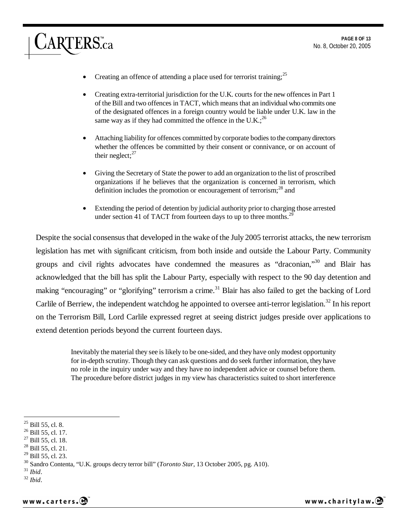- Creating an offence of attending a place used for terrorist training;<sup>25</sup>
- Creating extra-territorial jurisdiction for the U.K. courts for the new offences in Part 1 of the Bill and two offences in TACT, which means that an individual who commits one of the designated offences in a foreign country would be liable under U.K. law in the same way as if they had committed the offence in the U.K.;  $^{26}$
- Attaching liability for offences committed by corporate bodies to the company directors whether the offences be committed by their consent or connivance, or on account of their neglect; $^{27}$
- Giving the Secretary of State the power to add an organization to the list of proscribed organizations if he believes that the organization is concerned in terrorism, which definition includes the promotion or encouragement of terrorism;<sup>28</sup> and
- Extending the period of detention by judicial authority prior to charging those arrested under section 41 of TACT from fourteen days to up to three months.<sup>29</sup>

Despite the social consensus that developed in the wake of the July 2005 terrorist attacks, the new terrorism legislation has met with significant criticism, from both inside and outside the Labour Party. Community groups and civil rights advocates have condemned the measures as "draconian,"30 and Blair has acknowledged that the bill has split the Labour Party, especially with respect to the 90 day detention and making "encouraging" or "glorifying" terrorism a crime.<sup>31</sup> Blair has also failed to get the backing of Lord Carlile of Berriew, the independent watchdog he appointed to oversee anti-terror legislation.<sup>32</sup> In his report on the Terrorism Bill, Lord Carlile expressed regret at seeing district judges preside over applications to extend detention periods beyond the current fourteen days.

> Inevitably the material they see is likely to be one-sided, and they have only modest opportunity for in-depth scrutiny. Though they can ask questions and do seek further information, they have no role in the inquiry under way and they have no independent advice or counsel before them. The procedure before district judges in my view has characteristics suited to short interference

ARTERS.ca

 $^{25}$  Bill 55, cl. 8.

 $^{26}$  Bill 55, cl. 17.

<sup>27</sup> Bill 55, cl. 18.

<sup>28</sup> Bill 55, cl. 21.

<sup>29</sup> Bill 55, cl. 23.

<sup>30</sup> Sandro Contenta, "U.K. groups decry terror bill" (*Toronto Star*, 13 October 2005, pg. A10). 31 *Ibid*. 32 *Ibid*.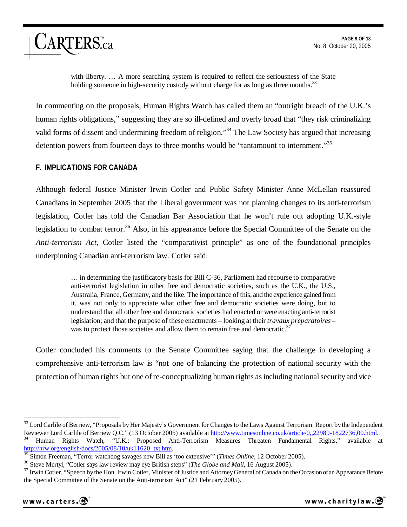with liberty. … A more searching system is required to reflect the seriousness of the State holding someone in high-security custody without charge for as long as three months.<sup>33</sup>

In commenting on the proposals, Human Rights Watch has called them an "outright breach of the U.K.'s human rights obligations," suggesting they are so ill-defined and overly broad that "they risk criminalizing valid forms of dissent and undermining freedom of religion."34 The Law Society has argued that increasing detention powers from fourteen days to three months would be "tantamount to internment."<sup>35</sup>

#### **F. IMPLICATIONS FOR CANADA**

ARTERS.ca

Although federal Justice Minister Irwin Cotler and Public Safety Minister Anne McLellan reassured Canadians in September 2005 that the Liberal government was not planning changes to its anti-terrorism legislation, Cotler has told the Canadian Bar Association that he won't rule out adopting U.K.-style legislation to combat terror.<sup>36</sup> Also, in his appearance before the Special Committee of the Senate on the *Anti-terrorism Act*, Cotler listed the "comparativist principle" as one of the foundational principles underpinning Canadian anti-terrorism law. Cotler said:

> … in determining the justificatory basis for Bill C-36, Parliament had recourse to comparative anti-terrorist legislation in other free and democratic societies, such as the U.K., the U.S., Australia, France, Germany, and the like. The importance of this, and the experience gained from it, was not only to appreciate what other free and democratic societies were doing, but to understand that all other free and democratic societies had enacted or were enacting anti-terrorist legislation; and that the purpose of these enactments – looking at their *travaux préparatoires* – was to protect those societies and allow them to remain free and democratic.<sup>37</sup>

Cotler concluded his comments to the Senate Committee saying that the challenge in developing a comprehensive anti-terrorism law is "not one of balancing the protection of national security with the protection of human rights but one of re-conceptualizing human rights as including national security and vice

<sup>&</sup>lt;sup>33</sup> Lord Carlile of Berriew, "Proposals by Her Majesty's Government for Changes to the Laws Against Terrorism: Report by the Independent Reviewer Lord Carlile of Berriew Q.C." (13 October 2005) available at http://www.tim <sup>34</sup> Human Rights Watch, "U.K.: Proposed Anti-Terrorism Measures Threaten Fundamental Rights," available at http://hrw.org/english/docs/2005/08/10/uk11620 txt.htm.

<sup>&</sup>lt;sup>35</sup> Simon Freeman, "Terror watchdog savages new Bill as 'too extensive'" (*Times Online*, 12 October 2005).<br><sup>36</sup> Steve Mertyl, "Cotler says law review may eye British steps" (*The Globe and Mail*, 16 August 2005).<br><sup>37</sup> I the Special Committee of the Senate on the Anti-terrorism Act" (21 February 2005).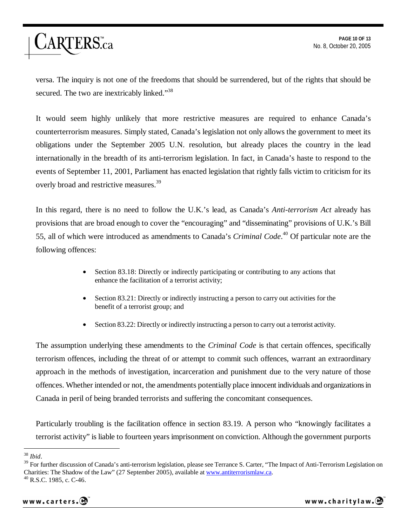### ARTERS.ca

versa. The inquiry is not one of the freedoms that should be surrendered, but of the rights that should be secured. The two are inextricably linked."<sup>38</sup>

It would seem highly unlikely that more restrictive measures are required to enhance Canada's counterterrorism measures. Simply stated, Canada's legislation not only allows the government to meet its obligations under the September 2005 U.N. resolution, but already places the country in the lead internationally in the breadth of its anti-terrorism legislation. In fact, in Canada's haste to respond to the events of September 11, 2001, Parliament has enacted legislation that rightly falls victim to criticism for its overly broad and restrictive measures.<sup>39</sup>

In this regard, there is no need to follow the U.K.'s lead, as Canada's *Anti-terrorism Act* already has provisions that are broad enough to cover the "encouraging" and "disseminating" provisions of U.K.'s Bill 55, all of which were introduced as amendments to Canada's *Criminal Code*. 40 Of particular note are the following offences:

- Section 83.18: Directly or indirectly participating or contributing to any actions that enhance the facilitation of a terrorist activity;
- Section 83.21: Directly or indirectly instructing a person to carry out activities for the benefit of a terrorist group; and
- Section 83.22: Directly or indirectly instructing a person to carry out a terrorist activity.

The assumption underlying these amendments to the *Criminal Code* is that certain offences, specifically terrorism offences, including the threat of or attempt to commit such offences, warrant an extraordinary approach in the methods of investigation, incarceration and punishment due to the very nature of those offences. Whether intended or not, the amendments potentially place innocent individuals and organizations in Canada in peril of being branded terrorists and suffering the concomitant consequences.

Particularly troubling is the facilitation offence in section 83.19. A person who "knowingly facilitates a terrorist activity" is liable to fourteen years imprisonment on conviction. Although the government purports

 $38$  *Ibid.* 

<sup>&</sup>lt;sup>39</sup> For further discussion of Canada's anti-terrorism legislation, please see Terrance S. Carter, "The Impact of Anti-Terrorism Legislation on Charities: The Shadow of the Law" (27 September 2005), available at www.antiterrorismlaw.ca. 40 R.S.C. 1985, c. C-46.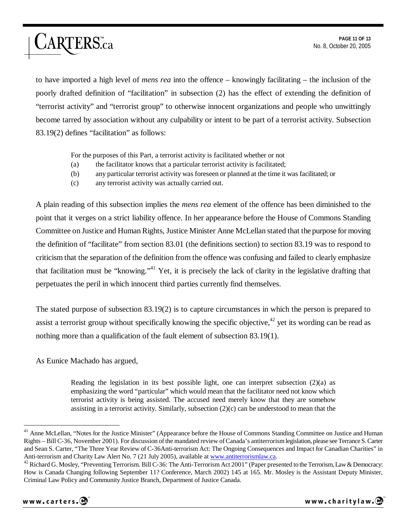to have imported a high level of *mens rea* into the offence – knowingly facilitating – the inclusion of the poorly drafted definition of "facilitation" in subsection (2) has the effect of extending the definition of "terrorist activity" and "terrorist group" to otherwise innocent organizations and people who unwittingly become tarred by association without any culpability or intent to be part of a terrorist activity. Subsection 83.19(2) defines "facilitation" as follows:

For the purposes of this Part, a terrorist activity is facilitated whether or not

- (a) the facilitator knows that a particular terrorist activity is facilitated;
- (b) any particular terrorist activity was foreseen or planned at the time it was facilitated; or
- (c) any terrorist activity was actually carried out.

A plain reading of this subsection implies the *mens rea* element of the offence has been diminished to the point that it verges on a strict liability offence. In her appearance before the House of Commons Standing Committee on Justice and Human Rights, Justice Minister Anne McLellan stated that the purpose for moving the definition of "facilitate" from section 83.01 (the definitions section) to section 83.19 was to respond to criticism that the separation of the definition from the offence was confusing and failed to clearly emphasize that facilitation must be "knowing."<sup>41</sup> Yet, it is precisely the lack of clarity in the legislative drafting that perpetuates the peril in which innocent third parties currently find themselves.

The stated purpose of subsection 83.19(2) is to capture circumstances in which the person is prepared to assist a terrorist group without specifically knowing the specific objective, $42$  yet its wording can be read as nothing more than a qualification of the fault element of subsection 83.19(1).

As Eunice Machado has argued,

ARTERS.ca

Reading the legislation in its best possible light, one can interpret subsection  $(2)(a)$  as emphasizing the word "particular" which would mean that the facilitator need not know which terrorist activity is being assisted. The accused need merely know that they are somehow assisting in a terrorist activity. Similarly, subsection  $(2)(c)$  can be understood to mean that the

<sup>&</sup>lt;sup>41</sup> Anne McLellan, "Notes for the Justice Minister" (Appearance before the House of Commons Standing Committee on Justice and Human Rights – Bill C-36, November 2001). For discussion of the mandated review of Canada's antiterrorism legislation, please see Terrance S. Carter and Sean S. Carter, "The Three Year Review of C-36Anti-terrorism Act: The Ongoing Consequences and Impact for Canadian Charities" in Anti-terrorism and Charity Law Alert No. 7 (21 July 2005), available at www.antiterrorism

<sup>&</sup>lt;sup>42</sup> Richard G. Mosley, "Preventing Terrorism. Bill C-36: The Anti-Terrorism Act 2001" (Paper presented to the Terrorism, Law & Democracy: How is Canada Changing following September 11? Conference, March 2002) 145 at 165. Mr. Mosley is the Assistant Deputy Minister, Criminal Law Policy and Community Justice Branch, Department of Justice Canada.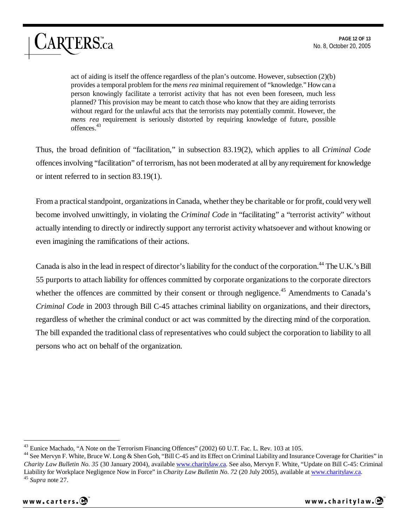act of aiding is itself the offence regardless of the plan's outcome. However, subsection (2)(b) provides a temporal problem for the *mens rea* minimal requirement of "knowledge." How can a person knowingly facilitate a terrorist activity that has not even been foreseen, much less planned? This provision may be meant to catch those who know that they are aiding terrorists without regard for the unlawful acts that the terrorists may potentially commit. However, the *mens rea* requirement is seriously distorted by requiring knowledge of future, possible offences.43

Thus, the broad definition of "facilitation," in subsection 83.19(2), which applies to all *Criminal Code* offences involving "facilitation" of terrorism, has not been moderated at all by any requirement for knowledge or intent referred to in section 83.19(1).

From a practical standpoint, organizations in Canada, whether they be charitable or for profit, could very well become involved unwittingly, in violating the *Criminal Code* in "facilitating" a "terrorist activity" without actually intending to directly or indirectly support any terrorist activity whatsoever and without knowing or even imagining the ramifications of their actions.

Canada is also in the lead in respect of director's liability for the conduct of the corporation.<sup>44</sup> The U.K.'s Bill 55 purports to attach liability for offences committed by corporate organizations to the corporate directors whether the offences are committed by their consent or through negligence.<sup>45</sup> Amendments to Canada's *Criminal Code* in 2003 through Bill C-45 attaches criminal liability on organizations, and their directors, regardless of whether the criminal conduct or act was committed by the directing mind of the corporation. The bill expanded the traditional class of representatives who could subject the corporation to liability to all persons who act on behalf of the organization.

<sup>&</sup>lt;sup>44</sup> See Mervyn F. White, Bruce W. Long & Shen Goh, "Bill C-45 and its Effect on Criminal Liability and Insurance Coverage for Charities" in *Charity Law Bulletin No. 35* (30 January 2004), available www.charitylaw.ca. See also, Mervyn F. White, "Update on Bill C-45: Criminal Liability for Workplace Negligence Now in Force" in *Charity Law Bulletin No. 72* (20 July 2005), available at www.charitylaw.ca. 45 *Supra* note 27.



ARTERS.ca



 $^{43}$  Eunice Machado, "A Note on the Terrorism Financing Offences" (2002) 60 U.T. Fac. L. Rev. 103 at 105.